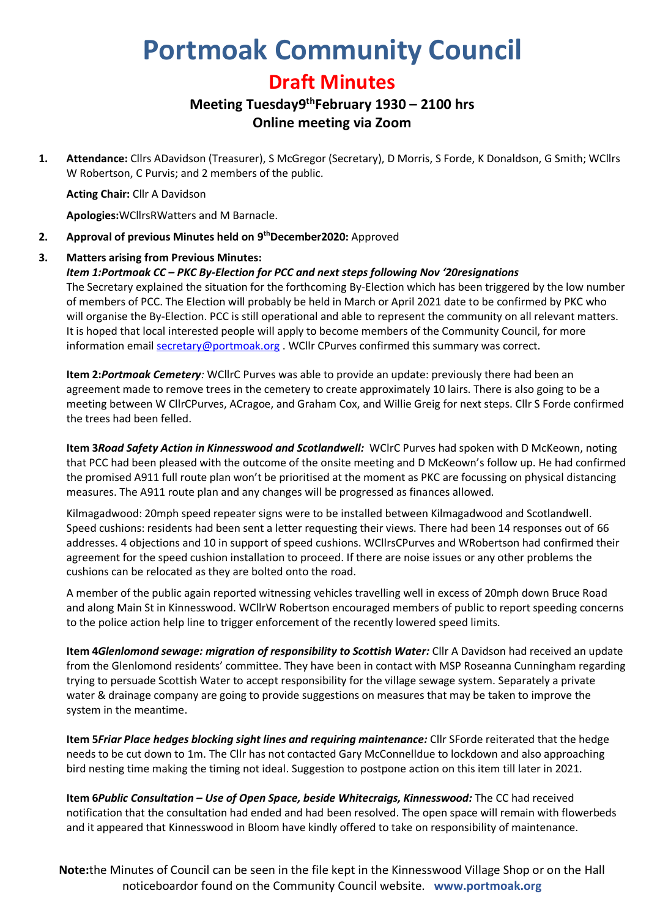# **Portmoak Community Council**

## **Draft Minutes**

### **Meeting Tuesday9 thFebruary 1930 – 2100 hrs Online meeting via Zoom**

**1. Attendance:** Cllrs ADavidson (Treasurer), S McGregor (Secretary), D Morris, S Forde, K Donaldson, G Smith; WCllrs W Robertson, C Purvis; and 2 members of the public.

**Acting Chair:** Cllr A Davidson

**Apologies:**WCllrsRWatters and M Barnacle.

**2. Approval of previous Minutes held on 9 thDecember2020:** Approved

#### **3. Matters arising from Previous Minutes:**

#### *Item 1:Portmoak CC – PKC By-Election for PCC and next steps following Nov '20resignations*

The Secretary explained the situation for the forthcoming By-Election which has been triggered by the low number of members of PCC. The Election will probably be held in March or April 2021 date to be confirmed by PKC who will organise the By-Election. PCC is still operational and able to represent the community on all relevant matters. It is hoped that local interested people will apply to become members of the Community Council, for more information email **secretary@portmoak.org** . WCllr CPurves confirmed this summary was correct.

**Item 2:***Portmoak Cemetery:* WCllrC Purves was able to provide an update: previously there had been an agreement made to remove trees in the cemetery to create approximately 10 lairs. There is also going to be a meeting between W CllrCPurves, ACragoe, and Graham Cox, and Willie Greig for next steps. Cllr S Forde confirmed the trees had been felled.

**Item 3***Road Safety Action in Kinnesswood and Scotlandwell:* WClrC Purves had spoken with D McKeown, noting that PCC had been pleased with the outcome of the onsite meeting and D McKeown's follow up. He had confirmed the promised A911 full route plan won't be prioritised at the moment as PKC are focussing on physical distancing measures. The A911 route plan and any changes will be progressed as finances allowed.

Kilmagadwood: 20mph speed repeater signs were to be installed between Kilmagadwood and Scotlandwell. Speed cushions: residents had been sent a letter requesting their views. There had been 14 responses out of 66 addresses. 4 objections and 10 in support of speed cushions. WCllrsCPurves and WRobertson had confirmed their agreement for the speed cushion installation to proceed. If there are noise issues or any other problems the cushions can be relocated as they are bolted onto the road.

A member of the public again reported witnessing vehicles travelling well in excess of 20mph down Bruce Road and along Main St in Kinnesswood. WCllrW Robertson encouraged members of public to report speeding concerns to the police action help line to trigger enforcement of the recently lowered speed limits.

**Item 4***Glenlomond sewage: migration of responsibility to Scottish Water:* Cllr A Davidson had received an update from the Glenlomond residents' committee. They have been in contact with MSP Roseanna Cunningham regarding trying to persuade Scottish Water to accept responsibility for the village sewage system. Separately a private water & drainage company are going to provide suggestions on measures that may be taken to improve the system in the meantime.

**Item 5***Friar Place hedges blocking sight lines and requiring maintenance:* Cllr SForde reiterated that the hedge needs to be cut down to 1m. The Cllr has not contacted Gary McConnelldue to lockdown and also approaching bird nesting time making the timing not ideal. Suggestion to postpone action on this item till later in 2021.

**Item 6***Public Consultation – Use of Open Space, beside Whitecraigs, Kinnesswood:* The CC had received notification that the consultation had ended and had been resolved. The open space will remain with flowerbeds and it appeared that Kinnesswood in Bloom have kindly offered to take on responsibility of maintenance.

**Note:**the Minutes of Council can be seen in the file kept in the Kinnesswood Village Shop or on the Hall noticeboardor found on the Community Council website. **www.portmoak.org**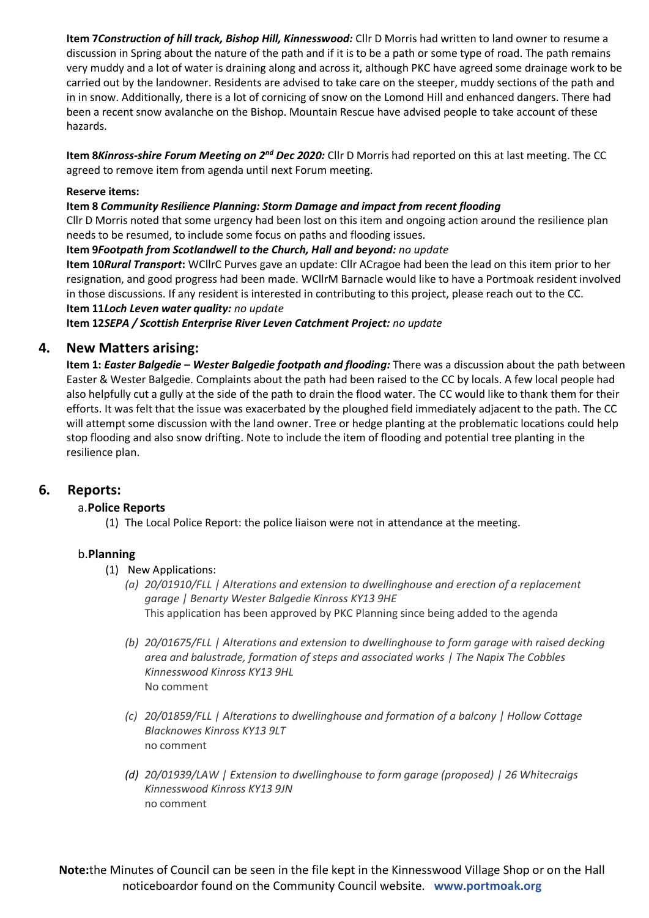**Item 7***Construction of hill track, Bishop Hill, Kinnesswood:* Cllr D Morris had written to land owner to resume a discussion in Spring about the nature of the path and if it is to be a path or some type of road. The path remains very muddy and a lot of water is draining along and across it, although PKC have agreed some drainage work to be carried out by the landowner. Residents are advised to take care on the steeper, muddy sections of the path and in in snow. Additionally, there is a lot of cornicing of snow on the Lomond Hill and enhanced dangers. There had been a recent snow avalanche on the Bishop. Mountain Rescue have advised people to take account of these hazards.

**Item 8***Kinross-shire Forum Meeting on 2nd Dec 2020:* Cllr D Morris had reported on this at last meeting. The CC agreed to remove item from agenda until next Forum meeting.

#### **Reserve items:**

#### **Item 8** *Community Resilience Planning: Storm Damage and impact from recent flooding*

Cllr D Morris noted that some urgency had been lost on this item and ongoing action around the resilience plan needs to be resumed, to include some focus on paths and flooding issues.

#### **Item 9***Footpath from Scotlandwell to the Church, Hall and beyond: no update*

**Item 10***Rural Transport***:** WCllrC Purves gave an update: Cllr ACragoe had been the lead on this item prior to her resignation, and good progress had been made. WCllrM Barnacle would like to have a Portmoak resident involved in those discussions. If any resident is interested in contributing to this project, please reach out to the CC. **Item 11***Loch Leven water quality: no update*

**Item 12***SEPA / Scottish Enterprise River Leven Catchment Project: no update*

#### **4. New Matters arising:**

**Item 1:** *Easter Balgedie – Wester Balgedie footpath and flooding:* There was a discussion about the path between Easter & Wester Balgedie. Complaints about the path had been raised to the CC by locals. A few local people had also helpfully cut a gully at the side of the path to drain the flood water. The CC would like to thank them for their efforts. It was felt that the issue was exacerbated by the ploughed field immediately adjacent to the path. The CC will attempt some discussion with the land owner. Tree or hedge planting at the problematic locations could help stop flooding and also snow drifting. Note to include the item of flooding and potential tree planting in the resilience plan.

#### **6. Reports:**

#### a.**Police Reports**

(1) The Local Police Report: the police liaison were not in attendance at the meeting.

#### b.**Planning**

- (1) New Applications:
	- *(a) 20/01910/FLL | Alterations and extension to dwellinghouse and erection of a replacement garage | Benarty Wester Balgedie Kinross KY13 9HE* This application has been approved by PKC Planning since being added to the agenda
	- *(b) 20/01675/FLL | Alterations and extension to dwellinghouse to form garage with raised decking area and balustrade, formation of steps and associated works | The Napix The Cobbles Kinnesswood Kinross KY13 9HL* No comment
	- *(c) 20/01859/FLL | Alterations to dwellinghouse and formation of a balcony | Hollow Cottage Blacknowes Kinross KY13 9LT* no comment
	- *(d) 20/01939/LAW | Extension to dwellinghouse to form garage (proposed) | 26 Whitecraigs Kinnesswood Kinross KY13 9JN* no comment

**Note:**the Minutes of Council can be seen in the file kept in the Kinnesswood Village Shop or on the Hall noticeboardor found on the Community Council website. **www.portmoak.org**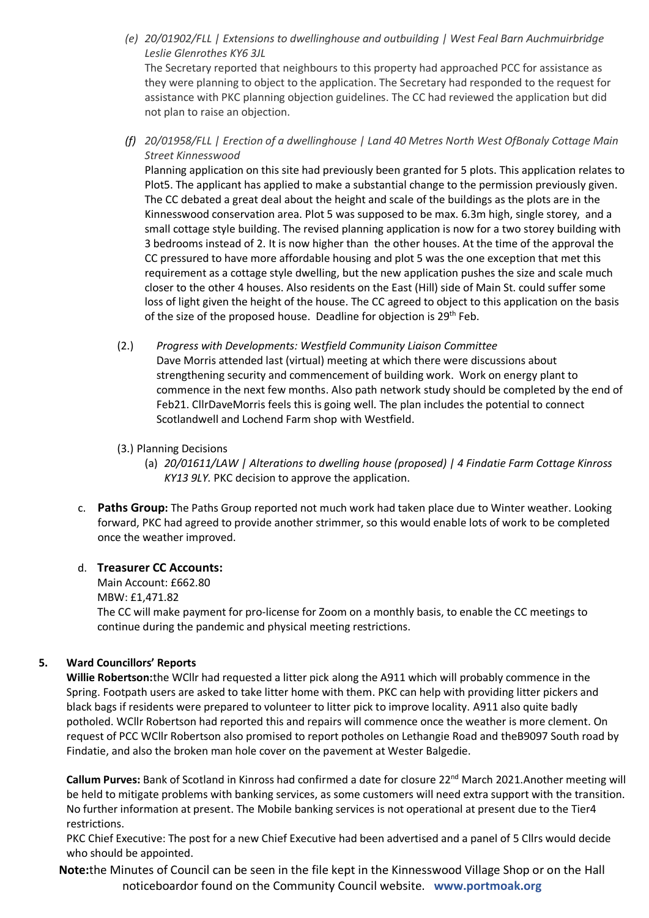*(e) 20/01902/FLL | Extensions to dwellinghouse and outbuilding | West Feal Barn Auchmuirbridge Leslie Glenrothes KY6 3JL*

The Secretary reported that neighbours to this property had approached PCC for assistance as they were planning to object to the application. The Secretary had responded to the request for assistance with PKC planning objection guidelines. The CC had reviewed the application but did not plan to raise an objection.

*(f) 20/01958/FLL | Erection of a dwellinghouse | Land 40 Metres North West OfBonaly Cottage Main Street Kinnesswood*

Planning application on this site had previously been granted for 5 plots. This application relates to Plot5. The applicant has applied to make a substantial change to the permission previously given. The CC debated a great deal about the height and scale of the buildings as the plots are in the Kinnesswood conservation area. Plot 5 was supposed to be max. 6.3m high, single storey, and a small cottage style building. The revised planning application is now for a two storey building with 3 bedrooms instead of 2. It is now higher than the other houses. At the time of the approval the CC pressured to have more affordable housing and plot 5 was the one exception that met this requirement as a cottage style dwelling, but the new application pushes the size and scale much closer to the other 4 houses. Also residents on the East (Hill) side of Main St. could suffer some loss of light given the height of the house. The CC agreed to object to this application on the basis of the size of the proposed house. Deadline for objection is 29<sup>th</sup> Feb.

(2.) *Progress with Developments: Westfield Community Liaison Committee* Dave Morris attended last (virtual) meeting at which there were discussions about strengthening security and commencement of building work. Work on energy plant to commence in the next few months. Also path network study should be completed by the end of Feb21. CllrDaveMorris feels this is going well. The plan includes the potential to connect Scotlandwell and Lochend Farm shop with Westfield.

#### (3.) Planning Decisions

- (a) *20/01611/LAW | Alterations to dwelling house (proposed) | 4 Findatie Farm Cottage Kinross KY13 9LY.* PKC decision to approve the application.
- c. **Paths Group:** The Paths Group reported not much work had taken place due to Winter weather. Looking forward, PKC had agreed to provide another strimmer, so this would enable lots of work to be completed once the weather improved.

#### d. **Treasurer CC Accounts:**

Main Account: £662.80 MBW: £1,471.82 The CC will make payment for pro-license for Zoom on a monthly basis, to enable the CC meetings to continue during the pandemic and physical meeting restrictions.

#### **5. Ward Councillors' Reports**

**Willie Robertson:**the WCllr had requested a litter pick along the A911 which will probably commence in the Spring. Footpath users are asked to take litter home with them. PKC can help with providing litter pickers and black bags if residents were prepared to volunteer to litter pick to improve locality. A911 also quite badly potholed. WCllr Robertson had reported this and repairs will commence once the weather is more clement. On request of PCC WCllr Robertson also promised to report potholes on Lethangie Road and theB9097 South road by Findatie, and also the broken man hole cover on the pavement at Wester Balgedie.

Callum Purves: Bank of Scotland in Kinross had confirmed a date for closure 22<sup>nd</sup> March 2021.Another meeting will be held to mitigate problems with banking services, as some customers will need extra support with the transition. No further information at present. The Mobile banking services is not operational at present due to the Tier4 restrictions.

PKC Chief Executive: The post for a new Chief Executive had been advertised and a panel of 5 Cllrs would decide who should be appointed.

**Note:**the Minutes of Council can be seen in the file kept in the Kinnesswood Village Shop or on the Hall noticeboardor found on the Community Council website. **www.portmoak.org**